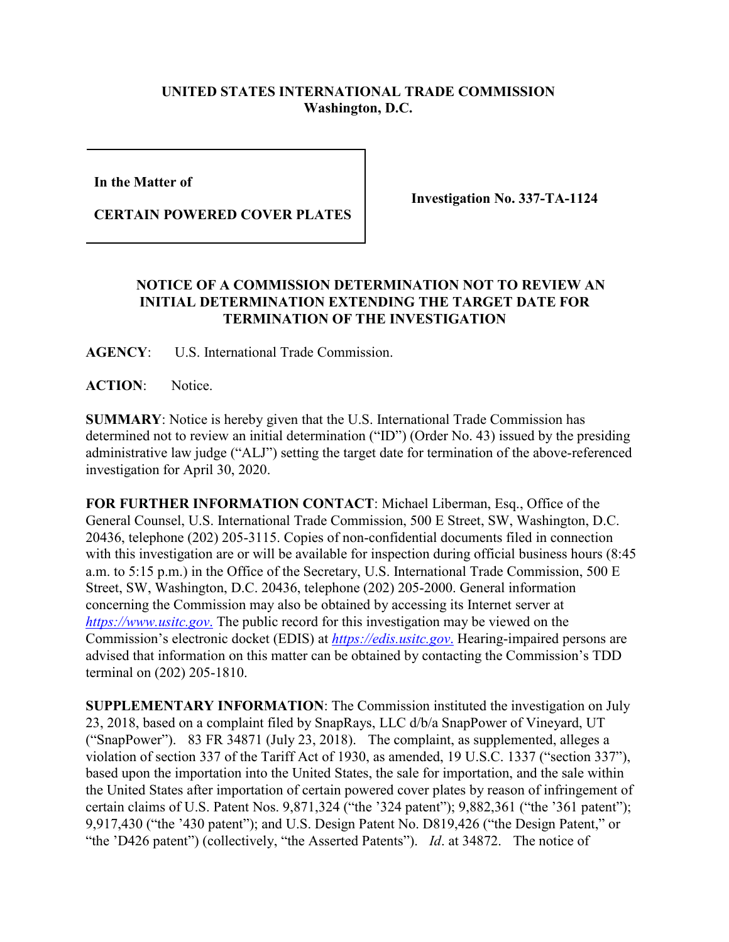## **UNITED STATES INTERNATIONAL TRADE COMMISSION Washington, D.C.**

**In the Matter of** 

**CERTAIN POWERED COVER PLATES**

**Investigation No. 337-TA-1124**

## **NOTICE OF A COMMISSION DETERMINATION NOT TO REVIEW AN INITIAL DETERMINATION EXTENDING THE TARGET DATE FOR TERMINATION OF THE INVESTIGATION**

**AGENCY**: U.S. International Trade Commission.

**ACTION**: Notice.

**SUMMARY**: Notice is hereby given that the U.S. International Trade Commission has determined not to review an initial determination ("ID") (Order No. 43) issued by the presiding administrative law judge ("ALJ") setting the target date for termination of the above-referenced investigation for April 30, 2020.

**FOR FURTHER INFORMATION CONTACT**: Michael Liberman, Esq., Office of the General Counsel, U.S. International Trade Commission, 500 E Street, SW, Washington, D.C. 20436, telephone (202) 205-3115. Copies of non-confidential documents filed in connection with this investigation are or will be available for inspection during official business hours (8:45 a.m. to 5:15 p.m.) in the Office of the Secretary, U.S. International Trade Commission, 500 E Street, SW, Washington, D.C. 20436, telephone (202) 205-2000. General information concerning the Commission may also be obtained by accessing its Internet server at *[https://www.usitc.gov](https://www.usitc.gov./)*. The public record for this investigation may be viewed on the Commission's electronic docket (EDIS) at *[https://edis.usitc.gov](https://edis.usitc.gov./)*. Hearing-impaired persons are advised that information on this matter can be obtained by contacting the Commission's TDD terminal on (202) 205-1810.

**SUPPLEMENTARY INFORMATION**: The Commission instituted the investigation on July 23, 2018, based on a complaint filed by SnapRays, LLC d/b/a SnapPower of Vineyard, UT ("SnapPower"). 83 FR 34871 (July 23, 2018). The complaint, as supplemented, alleges a violation of section 337 of the Tariff Act of 1930, as amended, 19 U.S.C. 1337 ("section 337"), based upon the importation into the United States, the sale for importation, and the sale within the United States after importation of certain powered cover plates by reason of infringement of certain claims of U.S. Patent Nos. 9,871,324 ("the '324 patent"); 9,882,361 ("the '361 patent"); 9,917,430 ("the '430 patent"); and U.S. Design Patent No. D819,426 ("the Design Patent," or "the 'D426 patent") (collectively, "the Asserted Patents"). *Id*. at 34872. The notice of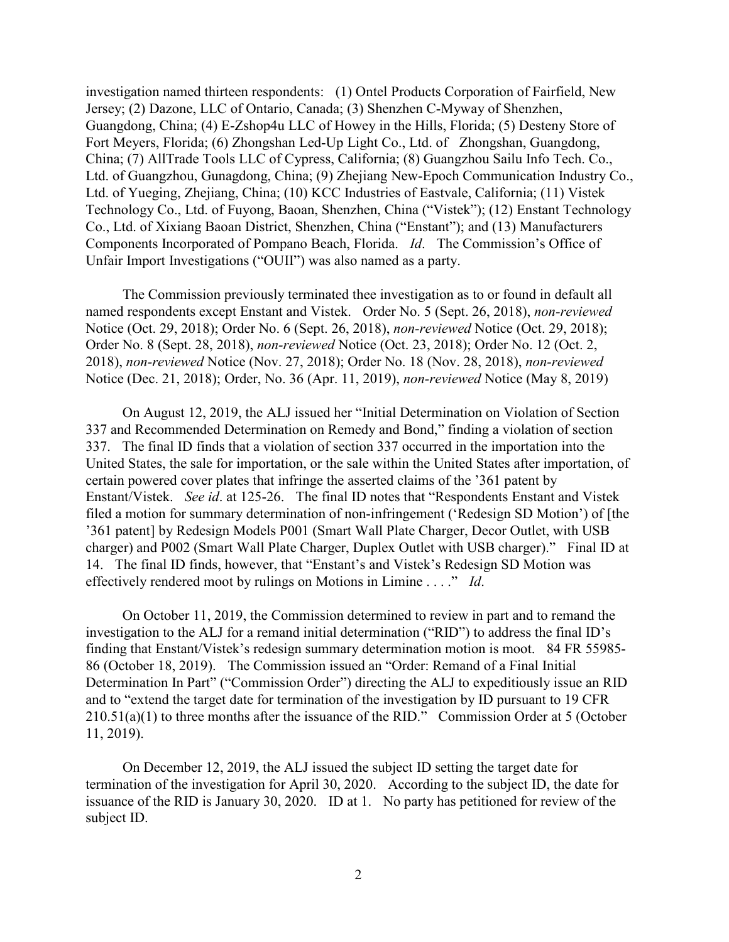investigation named thirteen respondents: (1) Ontel Products Corporation of Fairfield, New Jersey; (2) Dazone, LLC of Ontario, Canada; (3) Shenzhen C-Myway of Shenzhen, Guangdong, China; (4) E-Zshop4u LLC of Howey in the Hills, Florida; (5) Desteny Store of Fort Meyers, Florida; (6) Zhongshan Led-Up Light Co., Ltd. of Zhongshan, Guangdong, China; (7) AllTrade Tools LLC of Cypress, California; (8) Guangzhou Sailu Info Tech. Co., Ltd. of Guangzhou, Gunagdong, China; (9) Zhejiang New-Epoch Communication Industry Co., Ltd. of Yueging, Zhejiang, China; (10) KCC Industries of Eastvale, California; (11) Vistek Technology Co., Ltd. of Fuyong, Baoan, Shenzhen, China ("Vistek"); (12) Enstant Technology Co., Ltd. of Xixiang Baoan District, Shenzhen, China ("Enstant"); and (13) Manufacturers Components Incorporated of Pompano Beach, Florida. *Id*. The Commission's Office of Unfair Import Investigations ("OUII") was also named as a party.

The Commission previously terminated thee investigation as to or found in default all named respondents except Enstant and Vistek. Order No. 5 (Sept. 26, 2018), *non-reviewed* Notice (Oct. 29, 2018); Order No. 6 (Sept. 26, 2018), *non-reviewed* Notice (Oct. 29, 2018); Order No. 8 (Sept. 28, 2018), *non-reviewed* Notice (Oct. 23, 2018); Order No. 12 (Oct. 2, 2018), *non-reviewed* Notice (Nov. 27, 2018); Order No. 18 (Nov. 28, 2018), *non-reviewed* Notice (Dec. 21, 2018); Order, No. 36 (Apr. 11, 2019), *non-reviewed* Notice (May 8, 2019)

On August 12, 2019, the ALJ issued her "Initial Determination on Violation of Section 337 and Recommended Determination on Remedy and Bond," finding a violation of section 337. The final ID finds that a violation of section 337 occurred in the importation into the United States, the sale for importation, or the sale within the United States after importation, of certain powered cover plates that infringe the asserted claims of the '361 patent by Enstant/Vistek. *See id*. at 125-26. The final ID notes that "Respondents Enstant and Vistek filed a motion for summary determination of non-infringement ('Redesign SD Motion') of [the '361 patent] by Redesign Models P001 (Smart Wall Plate Charger, Decor Outlet, with USB charger) and P002 (Smart Wall Plate Charger, Duplex Outlet with USB charger)." Final ID at 14. The final ID finds, however, that "Enstant's and Vistek's Redesign SD Motion was effectively rendered moot by rulings on Motions in Limine . . . ." *Id*.

On October 11, 2019, the Commission determined to review in part and to remand the investigation to the ALJ for a remand initial determination ("RID") to address the final ID's finding that Enstant/Vistek's redesign summary determination motion is moot. 84 FR 55985- 86 (October 18, 2019). The Commission issued an "Order: Remand of a Final Initial Determination In Part" ("Commission Order") directing the ALJ to expeditiously issue an RID and to "extend the target date for termination of the investigation by ID pursuant to 19 CFR 210.51(a)(1) to three months after the issuance of the RID." Commission Order at 5 (October 11, 2019).

On December 12, 2019, the ALJ issued the subject ID setting the target date for termination of the investigation for April 30, 2020. According to the subject ID, the date for issuance of the RID is January 30, 2020. ID at 1. No party has petitioned for review of the subject ID.